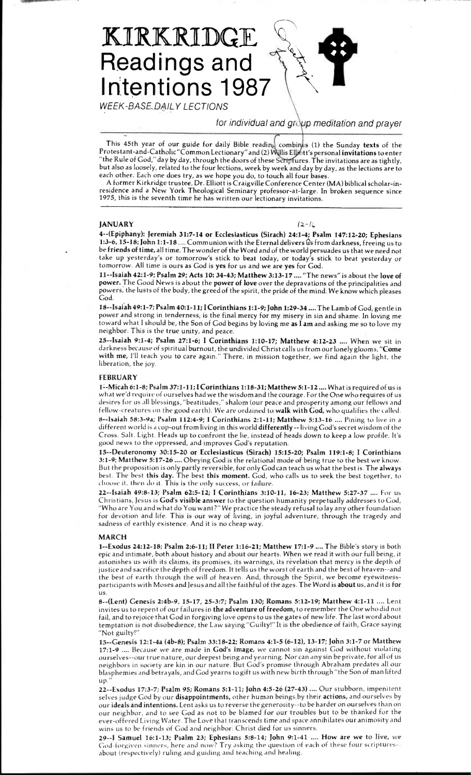# **KIRKRIDGE Readings and Intentions 1987**

WEEK-BASE,DAILY LECTIONS

for individual and group meditation and prayer

This 45th year of our guide for daily Bible reading combines (1) the Sunday texts of the Protestant-and-Catholic "Common Lectionary" and (2) tt's personal **invitations** to enter "the Rule of God," day by day, through the doors of these Scriptures. The invitations are as tightly, but also as loosely, related to the four lections, week by week and day by day, as the lections are to each other. Each one does try, as we hope you do, to touch all four bases.

A former Kirkridge trustee, Dr. Elliott is Craigville Conference Center (MA) biblical scholar-inresidence and a New York Theological Seminary professor-at-large. In broken sequence since 1975, this is the seventh time he has written our lectionary invitations.

# **JANUARY**

### $12 - 16$

**4--(Epiphany): Jeremiah 31:7 -14 or Ecclesiasticus (Sirach) 24:1 -4; Psalm 147:12-20; Ephesians 1:3-6, 15-18; John 1:1 -18 ....** Communion with the Eternal delivers th from darkness, freeing us to be **friends of time,** all time. The wonder of the Word and of the world persuades us that we need not take up yesterday's or tomorrow's stick to beat today, or today's stick to beat yesterday or tomorrow. All time is ours as God is **yes** for us and we are **yes** for God.

**11--Isaiah 42:1 -9; Psalm 29; Acts 10: 34 -43; Matthew 3:13-17 ....** "The news" is about the **love of power.** The Good News is about the **power of love** over the depravations of the principalities and powers; the lusts of the body, the greed of the spirit, the pride of the mind. We know which pleases God.

**18--Isalah 49:1 -7; Psalm 40:1-11; I Corinthians 1:1-9; John 1:29-34 ....** The Lamb of God, gentle in power and strong in tenderness, is the final mercy for my misery in sin and shame. In loving me toward what I should be, the Son of God begins by loving me **as I am** and asking me so to love my neighbor. This is the true unity, and peace.

**25--Isaiah 9:1 -4; Psalm 27:1 -6; I Corinthians 1:10 -17; Matthew 4:12-23 ....** When we sit in darkness because of spiritual burnout, the undivided Christ calls us from our lonely glooms, **"Come with me,** I'll teach you to care again." There, in mission together, we find again the light, the liberation, the joy.

# **FEBRUARY**

**1 :-Micah 6:1-8; Psalm 37:1-11; I Corinthians 1:18-31; Matthew 5:1-12 ....** What is required of us is what we'd require of ourselves had we the wisdom and the courage. For the One who requires of us desires for us all blessings, "beatitudes," shalom (our peace and prosperity among our fellows and fellow-crea tures on the good earth). We are ordained to **walk with God,** who qualifies the called. **8 —Isaiah 58:3-9a; Psalm 112:4 -9; I Corinthians 2:1 -11; Matthew** 5:13-16 .... Pining to live in a different world is a cop-out from living in this world **differently --** living God's secret wisdom of the Cross. Salt. Light. Heads up to confront the lie, instead of heads down to keep a low profile. It's good news to the oppressed, and improves God's reputation.

**15--Deuteronomy 30:15-20 or Ecclesiasticus (Sirach) 15:15 -20; Psalm 119:1 -8; I Corinthians**  3:1-9; **Matthew** 5:17-26 .... Obeying God is the relational mode of being true to the best we know. But the proposition is only partly reversible, for only God can teach us what the best is. The **always**  best. The best **this day. The** best **this moment.** God, who calls us to seek the best together, to choose it, then do it. This is the only success, or failure.

**22--Isaiah 49:8 -13; Psalm** 62:5-12; **I Corinthians 3:10-11, 16-23; Matthew 5:27-37 ....** For us Christians, Jesus is **God's visible answer** to the question humanity perpetually addresses to God, "Who are You and what do You want?" We practice the steady refusal to lay any other foundation for devotion and life. This is our way of living, in joyful adventure, through the tragedy and sadness of earthly existence. And it is no cheap way.

#### **MARCH**

**1--Exodus 24:12-18; Psalm 2:6-11; II Peter** 1:16-21; **Matthew 17:1-9 ....** The Bible's story is both epic and intimate, both about history and about our hearts. When we read it with our full being, it astonishes us with its claims, its promises, its warnings, its revelation that mercy is the depth of justice and sacrifice the depth of freedom. It tells us the worst of earth and the best of heaven--and the best of earth through the will of heaven. And, through the Spirit, we become eyewitnessparticipants with **Moses** and Jesus and all the faithful of the ages. The Word is **about** us, and it is **for us.** 

**8--(Lent) Genesis 2:4b-9, 15-17, 25-3:7; Psalm 130; Romans 5:12-19; Matthew 4:1-11 ....** Lent invites us to repent of our failures in **the adventure of freedom,** to remember the One who did **not**  fail, and to rejoice that God in forgiving love opens to us the gates of new life. The last word about temptation is not disobedience, the Law saying "Guilty!" It is the obedience of faith, Grace saying "Not guilty!"

**15--Genesis** 12:1 -4a **(46-8); Psalm 33:18-22; Romans 4:1 -5** (6-12), 13-17; **John** 3:1-7 **or Matthew**  17:1-9 .... Because we are made **in God's image,** we cannot sin against God without violating ourselves--our true nature, our deepest being and yearning. Nor can any sin be private, for all of us neighbors in society are kin in our nature. But God's promise through Abraham predates all our blasphemies and betrayals, and God yearns to gift us with new birth through "the Son of man lifted up.

**22--Exodus 17:3 -7; Psalm** 95; **Romans 5:1 -11; John 4:5 -26 (27-43) ....** Our stubborn, impenitent selves judge God by our **disappointments,** other human beings;by their **actions,** and ourselves by our **ideals and intentions.** Lent **asks us** to reverse the generosity--to be harder on ourselves than on our neighbor, and to see God as not to be blamed for our troubles but to be thanked for the ever-offered Living Water. The Love that transcends time and space annihilates our animosity and wins us to be friends of God and neighbor: Christ died for us sinners.

**29--I Samuel** 16:1 -13; **Psalm** 23; **Ephesians 5:8-14; John** 9:1-41 .... **How are we to live,** we God-forgiven sinners, here and now? Try asking the question of *each* of these four scriptures- about (respectively) ruling and guiding and teaching and healing.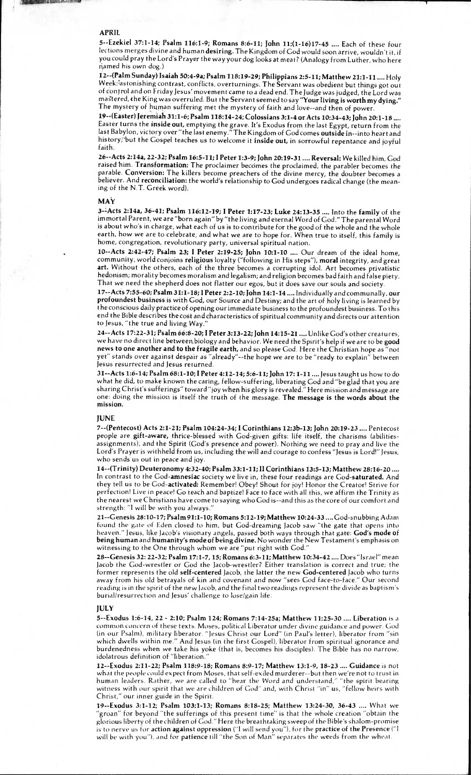### **APRIL**

**AND A REPORT OF A RIGHT** 

**5--Ezekiel 37:1-14; Psalm 116:1-9; Romans 8:6-11; John 11:(1-16)17-45 ....** Each of these four lections merges divine and human **desiring.** The Kingdom of God would soon arrive, wouldn't it, if you could pray the Lord's Prayer the way your dog looks at meat? (Analogy from Luther, who here named his own dog.)

**12--(Palm Sunday) Isaiah 50:4 -9a; Psalm 118:19-29; Philippians 2:5 -11; Matthew 21:1 -11 ....** Holy Week:lastonishing contrast, conflicts, overturnings. The Servant was obedient but things got out of cOntrol and on Friday Jesus' movement came to a dead end. The Judge was judged, the Lord was mastered, the King was overruled. But the Servant seemed to say "Your living is worth my dying." The mystery of human suffering met the mystery of faith and love--and then of power.

**19--(Easter) Jeremiah 31:1 -6; Psalm 118:14-24; Colossians 3:1 -4 or Acts 10:34-43; John 20:1 -18 ....**  Easter turns the **inside out,** emptying the grave. It's Exodus from the last Egypt, return from the last Babylon, victory over "the last enemy." The Kingdom of God comes **outside** in--into heart and history; but the Gospel teaches us to welcome it inside out, in sorrowful repentance and joyful faith.

**26--Acts 2:14a, 22 -32; Psalm 16:5-11; I Peter 1:3 -9; John 20:19-31 .... Reversal:** We killed him, God raised 'him. **Transformation:** The proclaimer becomes the proclaimed, the parabler becomes the parable. **Conversion:** The killers become preachers of the divine mercy, the doubter becomes a believer. And **reconciliation:** the world's relationship to God undergoes radical change (the meaning of the N.T. Greek word).

#### **MAY**

**3-LActs 2:14a, 36-41; Psalm 116:12-19; I Peter 1:17-23; Luke 24:13-35 ....** Into the **family** of the immortal Parent, we are "born again" by "the living and eternal Word of God." The parental Word is about who's in charge, what each of us is to contribute for the good of the whole and the whole earth, how we are to celebrate, and what we are to hope for. When true to itself, this family is home, congregation, revolutionary party, universal spiritual nation.

**10--Acts 2:42 -47; Psalm 23; I Peter 2:19 -25; John 10:1-10 ....** Our dream of the ideal home, community, world conjoins **religious** loyalty ("following in His steps"), **moral** integrity, and great **art.** Without the others, each of the three becomes a corrupting idol. Art becomes privatistic hedonism; morality becomes moralism and legalism; and religion becomes bad faith and false piety. That we need the shepherd does not flatter our egos, but it does save our souls and society.

**17--Acts 7:55 -60; Psalm 31:1 -18; I Peter 2:2 -10; John 14:1 -14** ....Individually and communally, **our profoundest business** is with God, our Source and Destiny; and the art of holy living is learned by the conscious daily practice of opening our immediate business to the profoundest business. To this end the Bible describes the cost and characteristics of spiritual community and directs our attention to Jesus, "the true and living Way."

**24--Acts 17:22 -31; Psalm 66:8 -20; I Peter 3:13 -22; John 14:15-21 ....** Unlike God's other crea tures, we have no direct line between.biology and behavior. We need the Spirit's help if we are to be **good news to one another and to the fragile earth,** and so please God. Here the Christian hope as "not yet" stands over against despair as "already"--the hope we are to be "ready to explain" between Jesus resurrected and Jesus returned.

**31--Acts 1:6 -14; Psalm 68:1 -10; I Peter 4:12 -14; 5:6-11; John 17: 1 -11 ....** Jesus taught us how to do what he did, to make known the caring, fellow-suffering, liberating God and "be glad that you are sharing Christ's sufferings" toward "joy when his glory is revealed." Here mission and message are one: doing the mission is itself the truth of the message. **The message is the words about the mission.** 

## **JUNE**

**7--(Pedtecost) Acts 2:1-21; Psalm 104:24-34; I Corinthians 12:36-13; John 20:19-23 ....** Pentecost people are **gift-aware,** thrice-blessed with God-given gifts: life itself, the charisms (abilitiesassignments), and the Spirit (God's presence and power). Nothing we need to pray and live the Lord's Prayer is withheld from us, including the will and courage to confess "Jesus is Lord!" Jesus, who sends us out in peace and joy.

**14--(Trinity) Deuteronomy 4:32 -40; Psalm 33:1 -11; II Corinthians 13:5 -13; Matthew 28:16 -20 ....**  In contrast to the **God -amnesiac** society we live in, these four readings are **God-saturated.** And they tell us to be God-activated: Remember! Obey! Shout for joy! Honor the Creator! Strive for perfection! Live in peace! Go teach and baptize! Face to face with all this, we affirm the Trinity as the nearest we Christians have come to saying who God is--and this as the core of our comfort and strength: "I will be with you always."

**21--Genesis 28:10-17; Psalm 91:1 -10; Romans 5:12-19; Matthew 10:24 -33 ....** God-snubbing Adam found the gate of Eden closed to him, but God-dreaming Jacob saw "the gate that opens into heaven." Jesus, like Jacob's visionary angels, passed both ways through that gate: **God's mode of being human** and **humanity's mode of being divine.** No wonder the New Testament's emphasis on witnessing to the One through whom we are "put right with God."

**28--Genesis 32: 22 -32; Psalm 17:1 -7, 15; Romans 6:3-11; Matthew 10:34 -42 ....** Does "Israel" mean Jacob the God-wrestler or God the Jacob-wrestler? Either translation is correct and true; the former represents the old **self-centered** Jacob, the latter the new **God-centered** Jacob who turns away from his old betrayals of kin and covenant and now "sees God face-to-face." Our second reading is in the spirit of the new Jacob, and the final two readings represent the divide as baptism's burial/resurrection and Jesus' challenge to loselgain life.

## **JULY**

**5--Exodus 1:6-14, 22 - 2:10; Psalm 124; Romans 7:14-25a; Matthew 11:25-30 .... Liberation** is a common concern of these texts. Moses, political Liberator under divine guidance and power. God (in our Psalm), military liberator. "Jesus Christ our Lord" (in Paul's letter), liberator from "sin which dwells within me." And Jesus (in the first Gospel), liberator from spiritual ignorance and burdenedness when we take his yoke (that is, becomes his disciples). The Bible has no narrow, idolatrous definition of "liberation.

**12--Exodus 2:11 -22; Psalm 118:9 -18; Romans 8:9-17; Matthew 13:1 -9, 18-23 .... Guidance** is not what the people could expect from Moses, that self-exiled murderer--but then we're not to trust in human leaders. Rather, we are called to "hear the Word and understand," "the spirit bearing witness with our spirit that we are children of God" and, with Christ "in" us, "fellow heirs with Christ," our inner guide in the Spirit.

**19--Exodus 3:1-12; Psalm 103:1-13; Romans 8:18-25; Matthew 13:24-30, 36-43 ....** What we 'groan" for beyond "the sufferings of this present time" is that the whole creation "obtain the glorious liberty of the children of God." Here the breathtaking sweep of the Bible's shalom-promise is to nerve us tor **action against oppression ("I** will send you"), for the **practice of the Presence ("I**  will be with you"), and for **patience** t ill "the Son of Man" separates the weeds from the wheat.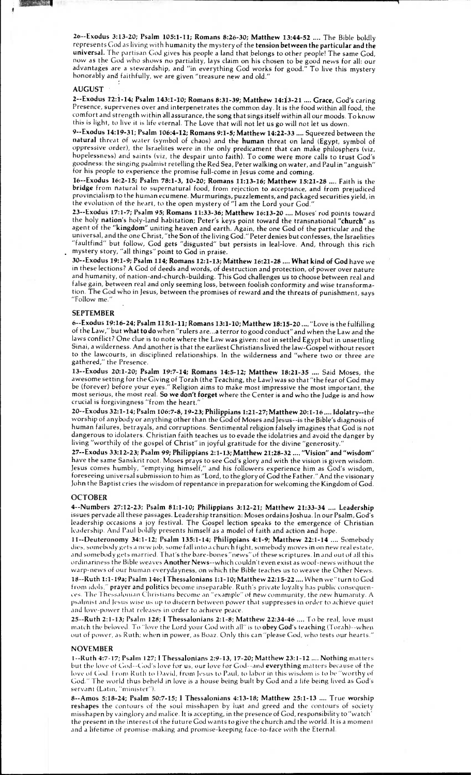**26—Exodus 3:13-20; Psalm 105:1-11; Romans 8:26-30; Matthew 13:44-52 ....** The Bible boldly represen ts God as living with humanity the mystery of the **tension between the particular and the universal.** The partisan God gives his people a land that belongs to other people! The same God, now as the God who shows no partiality, lays claim on his chosen to be good news for all: our advantages are a stewardship, and "in everything God works for good." To live this mystery honorably and faithfully, we are given "treasure new and old."

# **AUGUST .**

**COURSE INTEL** 

**2--Exodus T2:1-14; Psalm 143:1-10; Romans 8:31-39; Matthew 14:13-21 .... Grace,** God's caring Presence, supervenes over and interpenetrates the common day. It is the food within all food, the comfort and strength within **all** assurance, the song that sings itself within all our moods. To know this is light, to live it is life eternal. The Love that will not let us go will not let us down.

9--Exodus **14:19-31; Psalm 106:4 -12; Romans 9:1 -5; Matthew 14:22 -33 ....** Squeezed between the **natural** threat of water (symbol of chaos) and the **human** threat on land (Egypt, symbol of oppressive order), the Israelites were in the only predicament that can make philosphers (viz, hopelessness) and saints (viz, the despair unto faith). To come were more calls to trust God's goodness: the singing psalmist retelling the Red Sea, Peter walking on water, and Paul in "anguish" for his people to experience the promise full-come in Jesus come and coming.

**16--Exodus 16:2 -15; Psalm 78:1 -3, 10-20; Romans 11:13-16; Matthew 15:21 -28 ....** Faith is the **bridge** from natural to supernatural food, from rejection to acceptance, and from prejudiced provincialism to the human ecumene. Murmurings, puzzlements, and packaged securities yield, in the evolution of the heart, to the open mystery of "I am the Lord your God."

**23--Exodu 17:1 -7; Psalm 95; Romans 11:33 -36; Matthew 16:13 -20 ....** Moses' rod points toward the holy **nation's** holy-land habitation; Peter's keys point toward the transnational **"church"** as agent of the **"kingdom"** uniting heaven and earth. Again, the one God of the particular and the universal, and the one Christ, "the Son of the living God." Peter denies but confesses, the Israelities "faultfind" but follow, God gets "disgusted" but persists in leal-love. And, through this rich mystery story, "all things" point to God in praise.

**30--Exodus 19:1 -9; Psalm 114; Romans 12:1 -13; Matthew 16:21 -28 .... What kind of God** have we in these lections? A God of deeds and words, of destruction and protection, of power over nature and humanity, of nation-and-church-building. This God challenges us to choose between real and false gain, between real and only seeming loss, between foolish conformity and wise transformation. The God Who in Jesus, between the promises of reward and the threats of punishment, says "Follow me."

#### **SEPTEMBER**

**6--Exodus 19:16-24; Psalm 115:1-11; Romans 13:1-10; Matthew 18:15-20 ....** "Love is the fulfilling of the Law," but **what to do** when "rulers are...a terror to good conduct" and when the Law and the laws conflict? One clue is to note where the Law was given: not in settled Egypt but in unsettling Sinai, a wilderness. And another is that the earliest Christians lived the law-Gospel without resort to the lawcourts, in disciplined relationships. In the wilderness and "where two or three are gathered," the Presence.

**13--Exodus 20:1 -20; Psalm 19:7-14; Romans 14:5-12; Matthew 18:21 -35 ....** Said Moses, the awesome setting for the Giving of Torah (the Teaching, the Law) was so that "the fear of God may be (forever) before your eyes." Religion aims to make most impressive the most important, the most serious, the most real. **So we don't forget** where the Center is and who the Judge is and how crucial is forgivingness "from the heart."

**20--Exodus 32:1 -14; Psalm 106:7 -8, 19-23; Philippians 1:21 -27; Matthew 20:1 -16 .... Idolatry--the**  worship of anybody or anything other than the God of Moses and Jesus--is the Bible's diagnosis of human failures, betrayals, and corruptions. Sentimental religion falsely imagines that God is not dangerous to idolaters. Christian faith teaches us to evade the idolatries and avoid the danger by living "worthily of the gospel of Christ" in joyful gratitude for the divine "generosity."

**27--Exodus 33:12 -23; Psalm 99; Philippians 2:1 -13; Matthew 21:28 -32 .... "Vision" and "wisdom"**  have the same Sanskrit root. Moses prays to see God's glory and with the vision is given wisdom. Jesus comes humbly, "emptying himself," and his followers experience him as God's wisdom, foreseeing universal submission to him as "Lord, to the glory of God the Father." And the visionary John the Baptist cries the wisdom of repentance in preparation for welcoming the Kingdom of God.

# **OCTOBER**

**4--Numbers 27:12-23; Psalm 81:1-10; Philippians 3:12-21; Matthew 21:33-34 .... Leadership**  issues pervade all these passages. Leadership transition: Moses ordains Joshua. In our Psalm, God's leadership occasions a joy festival. The Gospel lection speaks to the emergence of Christian leadership. And Paul boldly presents himself as a model of faith and action and hope.

**11--Deuteronomy 34:1 - 12; Psalm 135:1 - 14; Philippians 4:1 -9; Matthew 22:1 -14 ....** Somebody dies, somebody gets a new job, some fall into a church fight, somebody moves in on new real estate, and somebody gets married. That's the bare-bones 'news" of these scriptures. In and out of all this ordinariness the Bible weaves **Another** News--which couldn't even exist as woof-news without the warp-news of our human everydayness, on which the Bible teaches us to weave the Other News. **18--Ruth 1:1 -19a; Psalm 146; I Thessalonians 1:1 -10; Matthew 22:15 -22 ....** When we "turn to God from idols," **prayer and politics** become inseparable. R uth's private loyalty has public consequences. The Thessalonian Christians *become* an "example" of new community, the new humanity. A psalmist and Jesus wise us up to discern *between* power that suppresses in order to achieve quiet and love-power that releases in order to achieve peace.

**25--Ruth 2:1 -13; Psalm 128; I Thessalonians 2:1 -8; Matthew 22:34 -46 ....** To be real, love must match the beloved. To "love the Lord your God with all" is to **obey God's teaching** (Torah)--when out of power, as Ruth; when in power, as Boaz. Only this can "please God, who tests our hearts."

## **NOVEMBER**

**1--Ruth 4:7 - 17; Psalm 127; I Thessalonians 2:9-13, 17-20; Matthew 23:1-12 .... Nothing** matters but the love of God--God's love for us, our love for God--and **everything** matters because of the love of God. From Ruth to David, from Jesus to Paul, to labor in this wisdom is to be "worthy of God." The world thus beheld in love is a house being built by God and a life being lived as God's servant (Latin, "minister").

**8--Amos 5:18 -24; Psalm 50:7-15; I Thessalonians 4:13-18; Matthew 25:1 -13 ....** True **worship reshapes** the contours of the soul misshapen by lust and greed and the contours of society misshapen by vainglory and malice. It is accepting, in the presence of God, responsibility to "watch' the present in the interest of the future God wants to give the church and the world. It is a moment and a lifetime of promise-making and promise-keeping *face-to-face* with the Eternal.